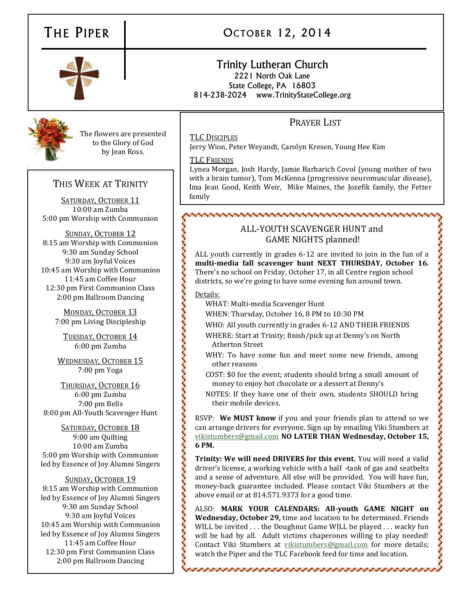# THE PIPER



# OCTOBER 12, 2014

# Trinity Lutheran Church 2221 North Oak Lane State College, PA 16803 814-238-2024 www.TrinityStateCollege.org

# PRAYER LIST

TLC DISCIPLES

Jerry Wion, Peter Weyandt, Carolyn Kresen, Young Hee Kim

# TLC FRIENDS

Lynea Morgan, Josh Hardy, Jamie Barbarich Covol (young mother of two with a brain tumor), Tom McKenna (progressive neuromuscular disease), Ima Jean Good, Keith Weir, Mike Maines, the Jozefik family, the Fetter family

# vovodnostvovovodnostvovodnostvovodnostvovodnostvovodnostvovodnostvovodnostvovodn

# ALL-YOUTH SCAVENGER HUNT and GAME NIGHTS planned!

ALL youth currently in grades 6-12 are invited to join in the fun of a **multi-media fall scavenger hunt NEXT THURSDAY, October 16.** There's no school on Friday, October 17, in all Centre region school districts, so we're going to have some evening fun around town.

# Details:

WHAT: Multi-media Scavenger Hunt

WHEN: Thursday, October 16, 8 PM to 10:30 PM

- WHO: All youth currently in grades 6-12 AND THEIR FRIENDS
- WHERE: Start at Trinity; finish/pick up at Denny's on North Atherton Street
- WHY: To have some fun and meet some new friends, among other reasons
- COST: \$0 for the event; students should bring a small amount of money to enjoy hot chocolate or a dessert at Denny's

NOTES: If they have one of their own, students SHOULD bring their mobile devices.

RSVP: **We MUST know** if you and your friends plan to attend so we can arrange drivers for everyone. Sign up by emailing Viki Stumbers at [vikistumbers@gmail.com](mailto:vikistumbers@gmail.com) **NO LATER THAN Wednesday, October 15, 6 PM.**

**Trinity: We will need DRIVERS for this event.** You will need a valid driver's license, a working vehicle with a half -tank of gas and seatbelts and a sense of adventure. All else will be provided. You will have fun, money-back guarantee included. Please contact Viki Stumbers at the above email or at 814.571.9373 for a good time.

ALSO: **MARK YOUR CALENDARS: All-youth GAME NIGHT on Wednesday, October 29,** time and location to be determined. Friends WILL be invited . . . the Doughnut Game WILL be played . . . wacky fun will be had by all. Adult victims chaperones willing to play needed! Contact Viki Stumbers at [vikistumbers@gmail.com](mailto:vikistumbers@gmail.com) for more details; watch the Piper and the TLC Facebook feed for time and location.

アントアントン アントアン・アントアントアントアントアントアントアント

5:00 pm Worship with Communion SUNDAY, OCTOBER 12 8:15 am Worship with Communion 9:30 am Sunday School 9:30 am Joyful Voices 10:45 am Worship with Communion 11:45 am Coffee Hour 12:30 pm First Communion Class

THIS WEEK AT TRINITY

The flowers are presented to the Glory of God by Jean Ross.

SATURDAY, OCTOBER 11 10:00 am Zumba

MONDAY, OCTOBER 13 7:00 pm Living Discipleship

2:00 pm Ballroom Dancing

TUESDAY, OCTOBER 14 6:00 pm Zumba

WEDNESDAY, OCTOBER 15 7:00 pm Yoga

THURSDAY, OCTOBER 16 6:00 pm Zumba 7:00 pm Bells 8:00 pm All-Youth Scavenger Hunt

SATURDAY, OCTOBER 18 9:00 am Quilting 10:00 am Zumba 5:00 pm Worship with Communion led by Essence of Joy Alumni Singers

SUNDAY, OCTOBER 19 8:15 am Worship with Communion led by Essence of Joy Alumni Singers 9:30 am Sunday School 9:30 am Joyful Voices 10:45 am Worship with Communion led by Essence of Joy Alumni Singers 11:45 am Coffee Hour 12:30 pm First Communion Class 2:00 pm Ballroom Dancing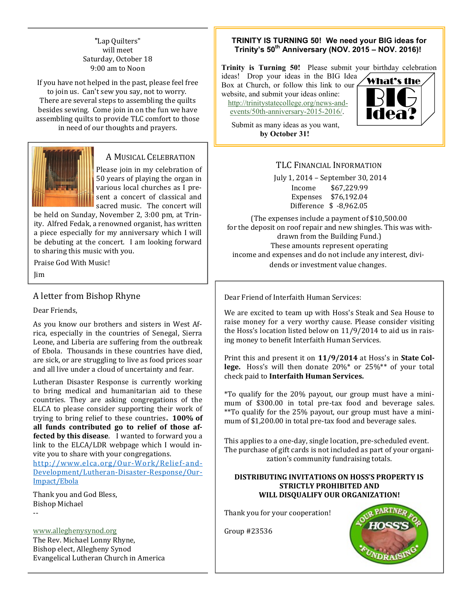# "Lap Quilters" will meet Saturday, October 18 9:00 am to Noon

If you have not helped in the past, please feel free to join us. Can't sew you say, not to worry. There are several steps to assembling the quilts besides sewing. Come join in on the fun we have assembling quilts to provide TLC comfort to those in need of our thoughts and prayers.



# A MUSICAL CELEBRATION

Please join in my celebration of 50 years of playing the organ in various local churches as I present a concert of classical and sacred music. The concert will

be held on Sunday, November 2, 3:00 pm, at Trinity. Alfred Fedak, a renowned organist, has written a piece especially for my anniversary which I will be debuting at the concert. I am looking forward to sharing this music with you.

Praise God With Music!

Jim

# A letter from Bishop Rhyne

Dear Friends,

As you know our brothers and sisters in West Africa, especially in the countries of Senegal, Sierra Leone, and Liberia are suffering from the outbreak of Ebola. Thousands in these countries have died, are sick, or are struggling to live as food prices soar and all live under a cloud of uncertainty and fear.

Lutheran Disaster Response is currently working to bring medical and humanitarian aid to these countries. They are asking congregations of the ELCA to please consider supporting their work of trying to bring relief to these countries**. 100% of all funds contributed go to relief of those affected by this disease**. I wanted to forward you a link to the ELCA/LDR webpage which I would invite you to share with your congregations.

[http://www.elca.org/Our](http://www.elca.org/Our-Work/Relief-and-Development/Lutheran-Disaster-Response/Our-Impact/Ebola) -Work/Relief-and-[Development/Lutheran-Disaster-Response/Our-](http://www.elca.org/Our-Work/Relief-and-Development/Lutheran-Disaster-Response/Our-Impact/Ebola)[Impact/Ebola](http://www.elca.org/Our-Work/Relief-and-Development/Lutheran-Disaster-Response/Our-Impact/Ebola)

Thank you and God Bless, Bishop Michael --

[www.alleghenysynod.org](http://www.alleghenysynod.org)

The Rev. Michael Lonny Rhyne, Bishop elect, Allegheny Synod Evangelical Lutheran Church in America

# **TRINITY IS TURNING 50! We need your BIG ideas for Trinity's 50th Anniversary (NOV. 2015 – NOV. 2016)!**

**Trinity is Turning 50!** Please submit your birthday celebration

ideas! Drop your ideas in the BIG Idea Box at Church, or follow this link to our website, and submit your ideas online: [http://trinitystatecollege.org/news-and](http://trinitystatecollege.org/news-and-events/50th-anniversary-2015-2016/)[events/50th-anniversary-2015-2016/.](http://trinitystatecollege.org/news-and-events/50th-anniversary-2015-2016/)

Submit as many ideas as you want, **by October 31!**



# TLC FINANCIAL INFORMATION

July 1, 2014 – September 30, 2014

Income \$67,229.99 Expenses \$76,192.04 Difference \$ -8,962.05

(The expenses include a payment of \$10,500.00 for the deposit on roof repair and new shingles. This was withdrawn from the Building Fund.) These amounts represent operating income and expenses and do not include any interest, dividends or investment value changes.

Dear Friend of Interfaith Human Services:

We are excited to team up with Hoss's Steak and Sea House to raise money for a very worthy cause. Please consider visiting the Hoss's location listed below on 11/9/2014 to aid us in raising money to benefit Interfaith Human Services.

Print this and present it on **11/9/2014** at Hoss's in **State College.** Hoss's will then donate 20%\* or 25%\*\* of your total check paid to **Interfaith Human Services.**

\*To qualify for the 20% payout, our group must have a minimum of \$300.00 in total pre-tax food and beverage sales. \*\*To qualify for the 25% payout, our group must have a minimum of \$1,200.00 in total pre-tax food and beverage sales.

This applies to a one-day, single location, pre-scheduled event. The purchase of gift cards is not included as part of your organization's community fundraising totals.

### **DISTRIBUTING INVITATIONS ON HOSS'S PROPERTY IS STRICTLY PROHIBITED AND WILL DISQUALIFY OUR ORGANIZATION!**

Thank you for your cooperation!

Group #23536